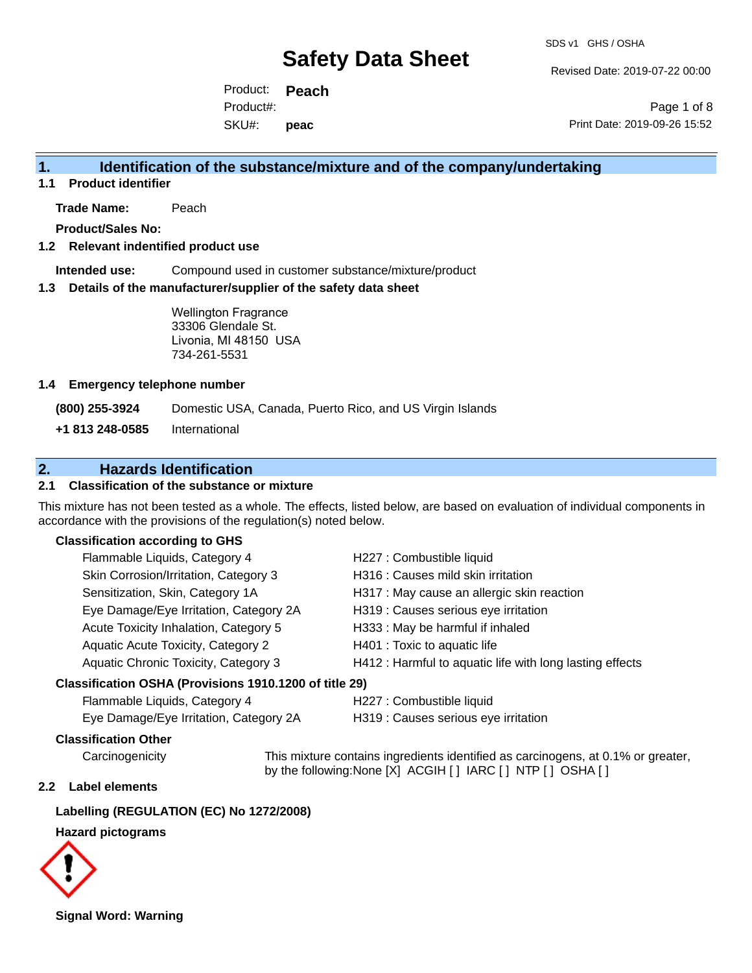Revised Date: 2019-07-22 00:00

Product: **Peach** SKU#: Product#: **peac**

Page 1 of 8 Print Date: 2019-09-26 15:52

### **1. Identification of the substance/mixture and of the company/undertaking**

**1.1 Product identifier**

**Trade Name:** Peach

**Product/Sales No:**

#### **1.2 Relevant indentified product use**

**Intended use:** Compound used in customer substance/mixture/product

#### **1.3 Details of the manufacturer/supplier of the safety data sheet**

Wellington Fragrance 33306 Glendale St. Livonia, MI 48150 USA 734-261-5531

#### **1.4 Emergency telephone number**

**(800) 255-3924** Domestic USA, Canada, Puerto Rico, and US Virgin Islands

**+1 813 248-0585** International

### **2. Hazards Identification**

#### **2.1 Classification of the substance or mixture**

This mixture has not been tested as a whole. The effects, listed below, are based on evaluation of individual components in accordance with the provisions of the regulation(s) noted below.

#### **Classification according to GHS**

| Flammable Liquids, Category 4                       | H227 : Combustible liquid                                |
|-----------------------------------------------------|----------------------------------------------------------|
| Skin Corrosion/Irritation, Category 3               | H316 : Causes mild skin irritation                       |
| Sensitization, Skin, Category 1A                    | H317 : May cause an allergic skin reaction               |
| Eye Damage/Eye Irritation, Category 2A              | H319 : Causes serious eye irritation                     |
| Acute Toxicity Inhalation, Category 5               | H333: May be harmful if inhaled                          |
| Aquatic Acute Toxicity, Category 2                  | H401 : Toxic to aquatic life                             |
| Aquatic Chronic Toxicity, Category 3                | H412 : Harmful to aquatic life with long lasting effects |
| ssification OSHA (Provisions 1910.1200 of title 29) |                                                          |

#### **Classification OSHA (Provisions 1910.1200 of title 29)**

| Flammable Liquids, Category 4          |  |
|----------------------------------------|--|
| Eve Damage/Eve Irritation. Category 2A |  |

H227 : Combustible liquid

H319 : Causes serious eye irritation

#### **Classification Other**

Carcinogenicity This mixture contains ingredients identified as carcinogens, at 0.1% or greater, by the following:None [X] ACGIH [ ] IARC [ ] NTP [ ] OSHA [ ]

#### **2.2 Label elements**

#### **Labelling (REGULATION (EC) No 1272/2008)**

#### **Hazard pictograms**



**Signal Word: Warning**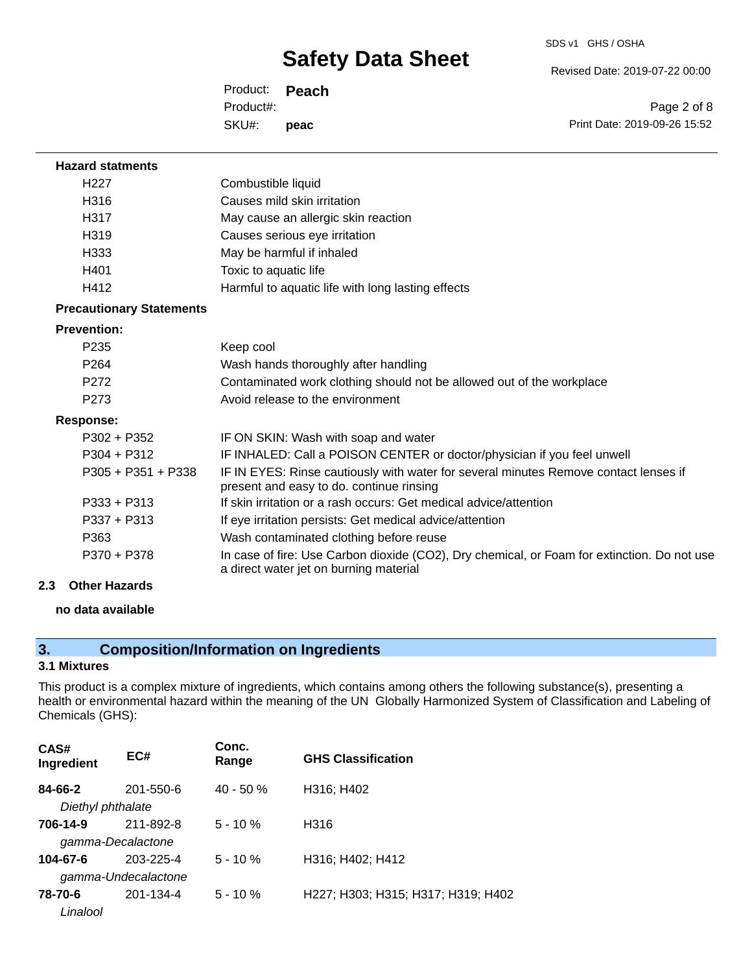SDS v1 GHS / OSHA

Revised Date: 2019-07-22 00:00

Product: **Peach** SKU#: Product#: **peac**

Page 2 of 8 Print Date: 2019-09-26 15:52

| <b>Hazard statments</b>         |                                                                                                                                       |
|---------------------------------|---------------------------------------------------------------------------------------------------------------------------------------|
| H <sub>227</sub>                | Combustible liquid                                                                                                                    |
| H <sub>316</sub>                | Causes mild skin irritation                                                                                                           |
| H317                            | May cause an allergic skin reaction                                                                                                   |
| H319                            | Causes serious eye irritation                                                                                                         |
| H333                            | May be harmful if inhaled                                                                                                             |
| H401                            | Toxic to aquatic life                                                                                                                 |
| H412                            | Harmful to aquatic life with long lasting effects                                                                                     |
| <b>Precautionary Statements</b> |                                                                                                                                       |
| <b>Prevention:</b>              |                                                                                                                                       |
| P <sub>235</sub>                | Keep cool                                                                                                                             |
| P <sub>264</sub>                | Wash hands thoroughly after handling                                                                                                  |
| P <sub>272</sub>                | Contaminated work clothing should not be allowed out of the workplace                                                                 |
| P273                            | Avoid release to the environment                                                                                                      |
| <b>Response:</b>                |                                                                                                                                       |
| $P302 + P352$                   | IF ON SKIN: Wash with soap and water                                                                                                  |
| $P304 + P312$                   | IF INHALED: Call a POISON CENTER or doctor/physician if you feel unwell                                                               |
| $P305 + P351 + P338$            | IF IN EYES: Rinse cautiously with water for several minutes Remove contact lenses if<br>present and easy to do. continue rinsing      |
| $P333 + P313$                   | If skin irritation or a rash occurs: Get medical advice/attention                                                                     |
| $P337 + P313$                   | If eye irritation persists: Get medical advice/attention                                                                              |
| P363                            | Wash contaminated clothing before reuse                                                                                               |
| P370 + P378                     | In case of fire: Use Carbon dioxide (CO2), Dry chemical, or Foam for extinction. Do not use<br>a direct water jet on burning material |

#### **2.3 Other Hazards**

#### **no data available**

## **3. Composition/Information on Ingredients**

#### **3.1 Mixtures**

This product is a complex mixture of ingredients, which contains among others the following substance(s), presenting a health or environmental hazard within the meaning of the UN Globally Harmonized System of Classification and Labeling of Chemicals (GHS):

| CAS#<br>Ingredient | EC#                 | Conc.<br>Range | <b>GHS Classification</b>          |
|--------------------|---------------------|----------------|------------------------------------|
| 84-66-2            | 201-550-6           | $40 - 50%$     | H316; H402                         |
| Diethyl phthalate  |                     |                |                                    |
| 706-14-9           | 211-892-8           | $5 - 10 \%$    | H316                               |
| gamma-Decalactone  |                     |                |                                    |
| 104-67-6           | 203-225-4           | $5 - 10 \%$    | H316; H402; H412                   |
|                    | gamma-Undecalactone |                |                                    |
| 78-70-6            | 201-134-4           | $5 - 10 \%$    | H227; H303; H315; H317; H319; H402 |
| Linalool           |                     |                |                                    |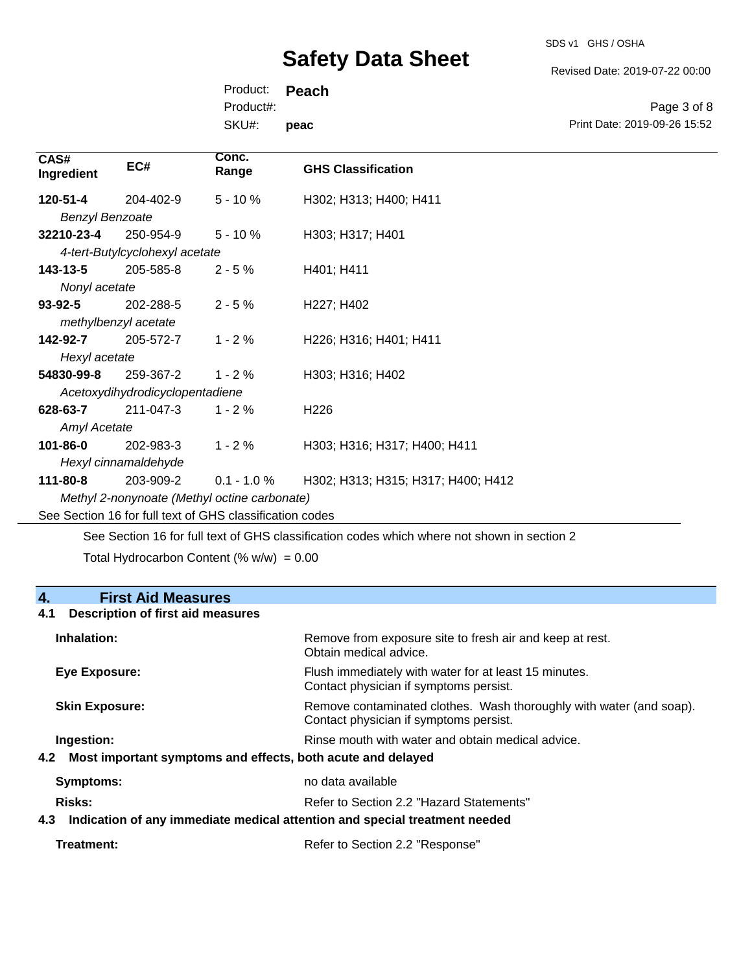SDS v1 GHS / OSHA

Revised Date: 2019-07-22 00:00

Product: **Peach** SKU#: Product#: **peac**

Page 3 of 8 Print Date: 2019-09-26 15:52

| CAS#<br>Ingredient     | EC#                             | Conc.<br>Range                                           | <b>GHS Classification</b>                                                 |
|------------------------|---------------------------------|----------------------------------------------------------|---------------------------------------------------------------------------|
| 120-51-4               | 204-402-9                       | $5 - 10 \%$                                              | H302; H313; H400; H411                                                    |
| <b>Benzyl Benzoate</b> |                                 |                                                          |                                                                           |
| 32210-23-4             | 250-954-9                       | $5 - 10 \%$                                              | H303; H317; H401                                                          |
|                        | 4-tert-Butylcyclohexyl acetate  |                                                          |                                                                           |
| 143-13-5               | 205-585-8                       | $2 - 5%$                                                 | H401; H411                                                                |
| Nonyl acetate          |                                 |                                                          |                                                                           |
| $93 - 92 - 5$          | 202-288-5                       | $2 - 5%$                                                 | H <sub>227</sub> ; H <sub>402</sub>                                       |
|                        | methylbenzyl acetate            |                                                          |                                                                           |
| 142-92-7               | 205-572-7                       | $1 - 2%$                                                 | H <sub>226</sub> ; H <sub>316</sub> ; H <sub>401</sub> ; H <sub>411</sub> |
| Hexyl acetate          |                                 |                                                          |                                                                           |
| 54830-99-8             | 259-367-2                       | $1 - 2%$                                                 | H303; H316; H402                                                          |
|                        | Acetoxydihydrodicyclopentadiene |                                                          |                                                                           |
| 628-63-7               | 211-047-3                       | $1 - 2%$                                                 | H <sub>226</sub>                                                          |
| <b>Amyl Acetate</b>    |                                 |                                                          |                                                                           |
| 101-86-0               | 202-983-3                       | $1 - 2%$                                                 | H303; H316; H317; H400; H411                                              |
|                        | Hexyl cinnamaldehyde            |                                                          |                                                                           |
| 111-80-8               | 203-909-2                       | $0.1 - 1.0 %$                                            | H302; H313; H315; H317; H400; H412                                        |
|                        |                                 | Methyl 2-nonynoate (Methyl octine carbonate)             |                                                                           |
|                        |                                 | See Section 16 for full text of GHS classification codes |                                                                           |
|                        |                                 |                                                          |                                                                           |

See Section 16 for full text of GHS classification codes which where not shown in section 2

Total Hydrocarbon Content (%  $w/w$ ) = 0.00

### **4. First Aid Measures**

#### **4.1 Description of first aid measures**

| Inhalation:                                                                       | Remove from exposure site to fresh air and keep at rest.<br>Obtain medical advice.                            |
|-----------------------------------------------------------------------------------|---------------------------------------------------------------------------------------------------------------|
| Eye Exposure:                                                                     | Flush immediately with water for at least 15 minutes.<br>Contact physician if symptoms persist.               |
| <b>Skin Exposure:</b>                                                             | Remove contaminated clothes. Wash thoroughly with water (and soap).<br>Contact physician if symptoms persist. |
| Ingestion:                                                                        | Rinse mouth with water and obtain medical advice.                                                             |
| 4.2 Most important symptoms and effects, both acute and delayed                   |                                                                                                               |
| Symptoms:                                                                         | no data available                                                                                             |
| Risks:                                                                            | Refer to Section 2.2 "Hazard Statements"                                                                      |
| Indication of any immediate medical attention and special treatment needed<br>4.3 |                                                                                                               |
|                                                                                   |                                                                                                               |

| Refer to Section 2.2 "Response" |
|---------------------------------|
|                                 |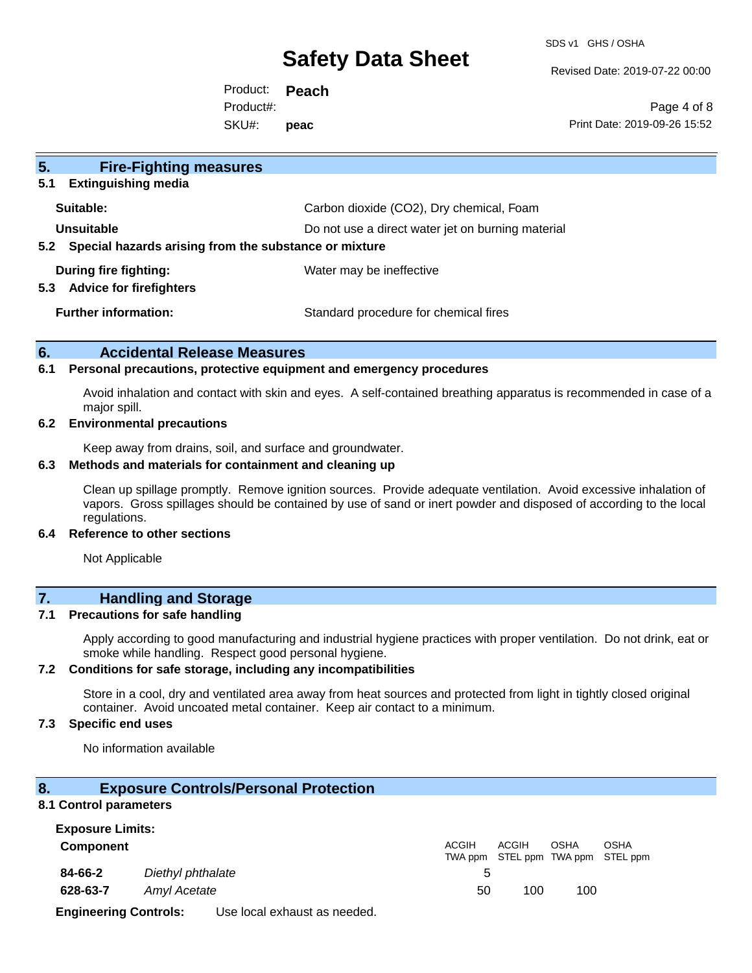SDS v1 GHS / OSHA

Revised Date: 2019-07-22 00:00

Product: **Peach** SKU#: Product#: **peac**

Page 4 of 8 Print Date: 2019-09-26 15:52

| 5.<br><b>Fire-Fighting measures</b>                            |                                                   |
|----------------------------------------------------------------|---------------------------------------------------|
| <b>Extinguishing media</b><br>5.1                              |                                                   |
| Suitable:                                                      | Carbon dioxide (CO2), Dry chemical, Foam          |
| Unsuitable                                                     | Do not use a direct water jet on burning material |
| Special hazards arising from the substance or mixture<br>5.2   |                                                   |
| During fire fighting:<br><b>Advice for firefighters</b><br>5.3 | Water may be ineffective                          |
| <b>Further information:</b>                                    | Standard procedure for chemical fires             |

#### **6. Accidental Release Measures**

#### **6.1 Personal precautions, protective equipment and emergency procedures**

Avoid inhalation and contact with skin and eyes. A self-contained breathing apparatus is recommended in case of a major spill.

#### **6.2 Environmental precautions**

Keep away from drains, soil, and surface and groundwater.

#### **6.3 Methods and materials for containment and cleaning up**

Clean up spillage promptly. Remove ignition sources. Provide adequate ventilation. Avoid excessive inhalation of vapors. Gross spillages should be contained by use of sand or inert powder and disposed of according to the local regulations.

#### **6.4 Reference to other sections**

Not Applicable

### **7. Handling and Storage**

#### **7.1 Precautions for safe handling**

Apply according to good manufacturing and industrial hygiene practices with proper ventilation. Do not drink, eat or smoke while handling. Respect good personal hygiene.

#### **7.2 Conditions for safe storage, including any incompatibilities**

Store in a cool, dry and ventilated area away from heat sources and protected from light in tightly closed original container. Avoid uncoated metal container. Keep air contact to a minimum.

#### **7.3 Specific end uses**

No information available

#### **8. Exposure Controls/Personal Protection**

#### **8.1 Control parameters**

| <b>Exposure Limits:</b>      |                   |                              |       |                                            |             |             |
|------------------------------|-------------------|------------------------------|-------|--------------------------------------------|-------------|-------------|
| <b>Component</b>             |                   |                              | ACGIH | ACGIH<br>TWA ppm STEL ppm TWA ppm STEL ppm | <b>OSHA</b> | <b>OSHA</b> |
| 84-66-2                      | Diethyl phthalate |                              |       |                                            |             |             |
| 628-63-7                     | Amyl Acetate      |                              | 50    | 100                                        | 100         |             |
| <b>Engineering Controls:</b> |                   | Use local exhaust as needed. |       |                                            |             |             |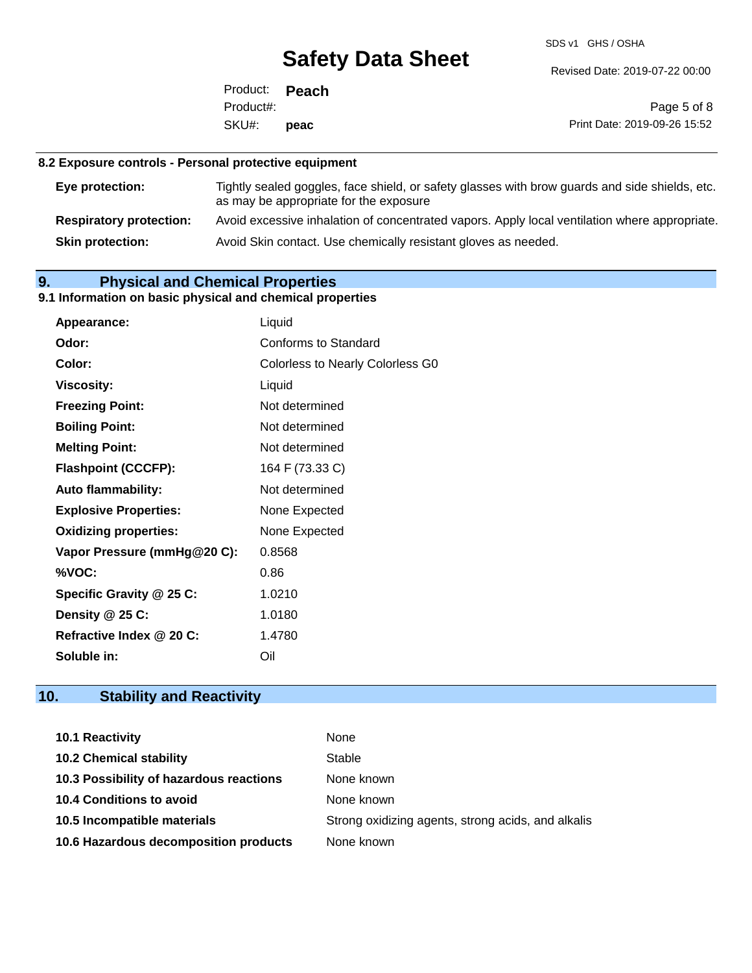SDS v1 GHS / OSHA

Revised Date: 2019-07-22 00:00

Product: **Peach** SKU#: Product#: **peac**

Page 5 of 8 Print Date: 2019-09-26 15:52

## **8.2 Exposure controls - Personal protective equipment**

| Eye protection:                | Tightly sealed goggles, face shield, or safety glasses with brow guards and side shields, etc.<br>as may be appropriate for the exposure |
|--------------------------------|------------------------------------------------------------------------------------------------------------------------------------------|
| <b>Respiratory protection:</b> | Avoid excessive inhalation of concentrated vapors. Apply local ventilation where appropriate.                                            |
| <b>Skin protection:</b>        | Avoid Skin contact. Use chemically resistant gloves as needed.                                                                           |

### **9. Physical and Chemical Properties**

### **9.1 Information on basic physical and chemical properties**

| Appearance:                  | Liquid                                  |
|------------------------------|-----------------------------------------|
| Odor:                        | Conforms to Standard                    |
| Color:                       | <b>Colorless to Nearly Colorless G0</b> |
| <b>Viscosity:</b>            | Liquid                                  |
| <b>Freezing Point:</b>       | Not determined                          |
| <b>Boiling Point:</b>        | Not determined                          |
| <b>Melting Point:</b>        | Not determined                          |
| <b>Flashpoint (CCCFP):</b>   | 164 F (73.33 C)                         |
| <b>Auto flammability:</b>    | Not determined                          |
| <b>Explosive Properties:</b> | None Expected                           |
| <b>Oxidizing properties:</b> | None Expected                           |
| Vapor Pressure (mmHg@20 C):  | 0.8568                                  |
| %VOC:                        | 0.86                                    |
| Specific Gravity @ 25 C:     | 1.0210                                  |
| Density @ 25 C:              | 1.0180                                  |
| Refractive Index @ 20 C:     | 1.4780                                  |
| Soluble in:                  | Oil                                     |

## **10. Stability and Reactivity**

| <b>10.1 Reactivity</b>                  | None                                               |
|-----------------------------------------|----------------------------------------------------|
| <b>10.2 Chemical stability</b>          | Stable                                             |
| 10.3 Possibility of hazardous reactions | None known                                         |
| <b>10.4 Conditions to avoid</b>         | None known                                         |
| 10.5 Incompatible materials             | Strong oxidizing agents, strong acids, and alkalis |
| 10.6 Hazardous decomposition products   | None known                                         |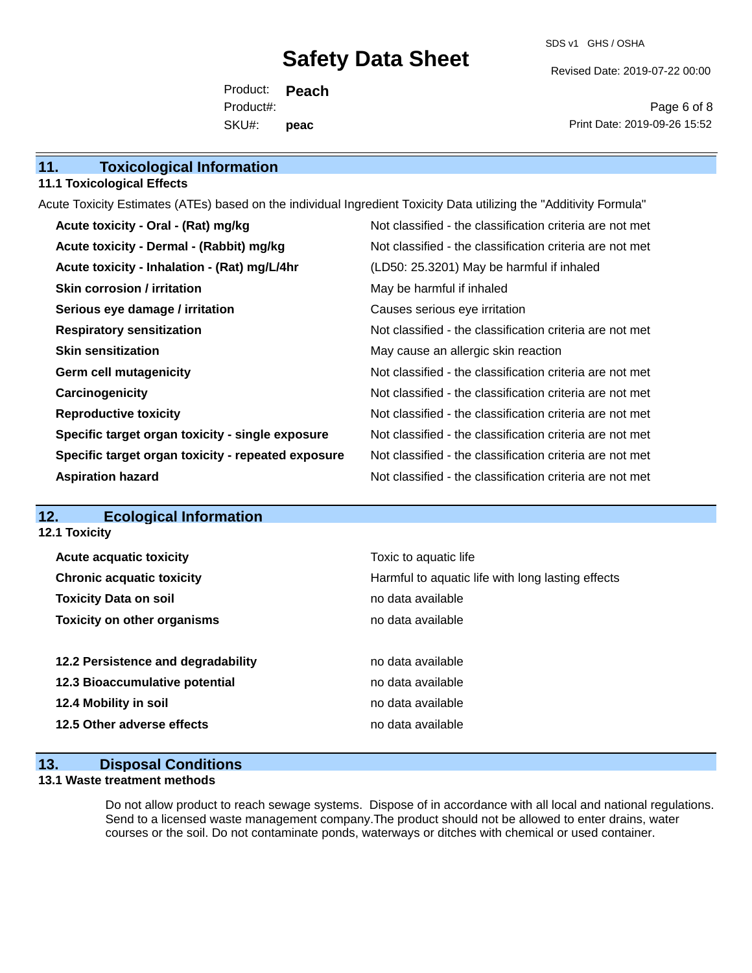SDS v1 GHS / OSHA

Revised Date: 2019-07-22 00:00

Product: **Peach** SKU#: Product#: **peac**

Page 6 of 8 Print Date: 2019-09-26 15:52

| 11.<br><b>Toxicological Information</b>                                                                             |                                                          |
|---------------------------------------------------------------------------------------------------------------------|----------------------------------------------------------|
| <b>11.1 Toxicological Effects</b>                                                                                   |                                                          |
| Acute Toxicity Estimates (ATEs) based on the individual Ingredient Toxicity Data utilizing the "Additivity Formula" |                                                          |
| Acute toxicity - Oral - (Rat) mg/kg                                                                                 | Not classified - the classification criteria are not met |
| Acute toxicity - Dermal - (Rabbit) mg/kg                                                                            | Not classified - the classification criteria are not met |
| Acute toxicity - Inhalation - (Rat) mg/L/4hr                                                                        | (LD50: 25.3201) May be harmful if inhaled                |
| <b>Skin corrosion / irritation</b>                                                                                  | May be harmful if inhaled                                |
| Serious eye damage / irritation                                                                                     | Causes serious eye irritation                            |
| <b>Respiratory sensitization</b>                                                                                    | Not classified - the classification criteria are not met |
| <b>Skin sensitization</b>                                                                                           | May cause an allergic skin reaction                      |
| <b>Germ cell mutagenicity</b>                                                                                       | Not classified - the classification criteria are not met |
| Carcinogenicity                                                                                                     | Not classified - the classification criteria are not met |
| <b>Reproductive toxicity</b>                                                                                        | Not classified - the classification criteria are not met |
| Specific target organ toxicity - single exposure                                                                    | Not classified - the classification criteria are not met |
| Specific target organ toxicity - repeated exposure                                                                  | Not classified - the classification criteria are not met |

### **12. Ecological Information**

**12.1 Toxicity**

| <b>Acute acquatic toxicity</b>     | Toxic to aquatic life                             |
|------------------------------------|---------------------------------------------------|
| <b>Chronic acquatic toxicity</b>   | Harmful to aquatic life with long lasting effects |
| <b>Toxicity Data on soil</b>       | no data available                                 |
| <b>Toxicity on other organisms</b> | no data available                                 |
|                                    |                                                   |
| 12.2 Persistence and degradability | no data available                                 |
| 12.3 Bioaccumulative potential     | no data available                                 |
| 12.4 Mobility in soil              | no data available                                 |
| 12.5 Other adverse effects         | no data available                                 |
|                                    |                                                   |

**Aspiration hazard Not classified - the classification criteria are not met** Not classified - the classification criteria are not met

#### **13. Disposal Conditions**

#### **13.1 Waste treatment methods**

Do not allow product to reach sewage systems. Dispose of in accordance with all local and national regulations. Send to a licensed waste management company.The product should not be allowed to enter drains, water courses or the soil. Do not contaminate ponds, waterways or ditches with chemical or used container.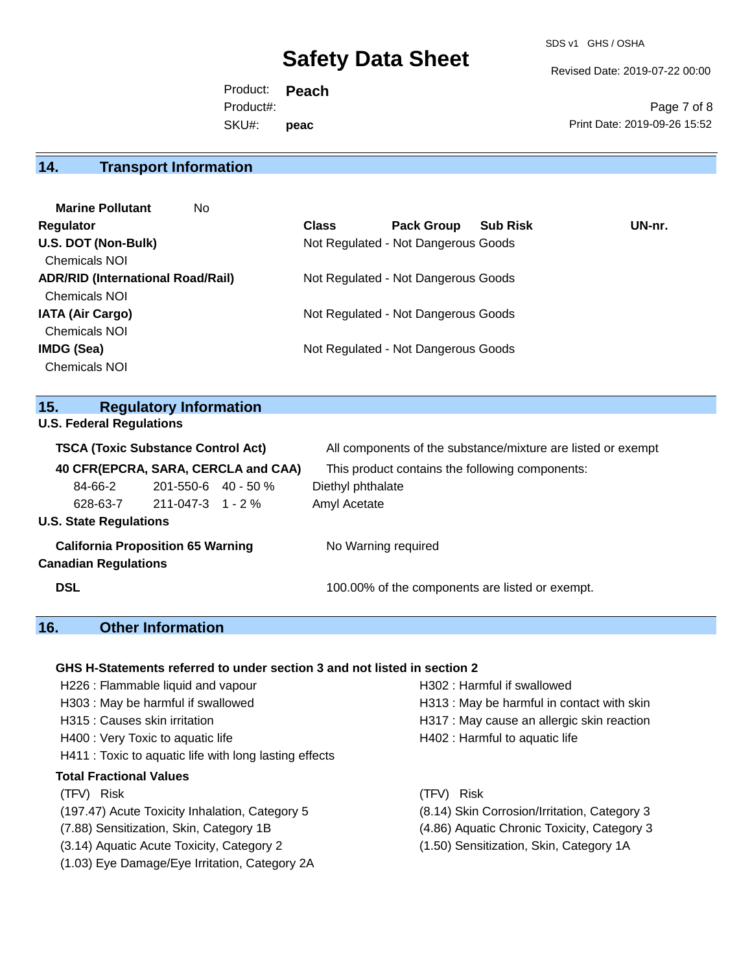SDS v1 GHS / OSHA

Revised Date: 2019-07-22 00:00

Product: **Peach** SKU#: Product#: **peac**

Page 7 of 8 Print Date: 2019-09-26 15:52

## **14. Transport Information**

| <b>Marine Pollutant</b><br>No.           |              |                                     |                 |        |
|------------------------------------------|--------------|-------------------------------------|-----------------|--------|
| Regulator                                | <b>Class</b> | <b>Pack Group</b>                   | <b>Sub Risk</b> | UN-nr. |
| U.S. DOT (Non-Bulk)                      |              | Not Regulated - Not Dangerous Goods |                 |        |
| <b>Chemicals NOI</b>                     |              |                                     |                 |        |
| <b>ADR/RID (International Road/Rail)</b> |              | Not Regulated - Not Dangerous Goods |                 |        |
| <b>Chemicals NOI</b>                     |              |                                     |                 |        |
| <b>IATA (Air Cargo)</b>                  |              | Not Regulated - Not Dangerous Goods |                 |        |
| Chemicals NOI                            |              |                                     |                 |        |
| IMDG (Sea)                               |              | Not Regulated - Not Dangerous Goods |                 |        |
| <b>Chemicals NOI</b>                     |              |                                     |                 |        |

### **15. Regulatory Information**

**U.S. Federal Regulations**

| <b>TSCA (Toxic Substance Control Act)</b>                               |                     | All components of the substance/mixture are listed or exempt |
|-------------------------------------------------------------------------|---------------------|--------------------------------------------------------------|
| 40 CFR(EPCRA, SARA, CERCLA and CAA)                                     |                     | This product contains the following components:              |
| 84-66-2                                                                 | 201-550-6 40 - 50 % | Diethyl phthalate                                            |
| $628-63-7$ 211-047-3 1 - 2 %                                            |                     | Amyl Acetate                                                 |
| <b>U.S. State Regulations</b>                                           |                     |                                                              |
| <b>California Proposition 65 Warning</b><br><b>Canadian Regulations</b> |                     | No Warning required                                          |
| <b>DSL</b>                                                              |                     | 100.00% of the components are listed or exempt.              |

## **16. Other Information**

#### **GHS H-Statements referred to under section 3 and not listed in section 2**

| H302: Harmful if swallowed                   |
|----------------------------------------------|
| H313 : May be harmful in contact with skin   |
| H317 : May cause an allergic skin reaction   |
| H402 : Harmful to aquatic life               |
|                                              |
|                                              |
| (TFV) Risk                                   |
| (8.14) Skin Corrosion/Irritation, Category 3 |
| (4.86) Aquatic Chronic Toxicity, Category 3  |
| (1.50) Sensitization, Skin, Category 1A      |
|                                              |

(1.03) Eye Damage/Eye Irritation, Category 2A